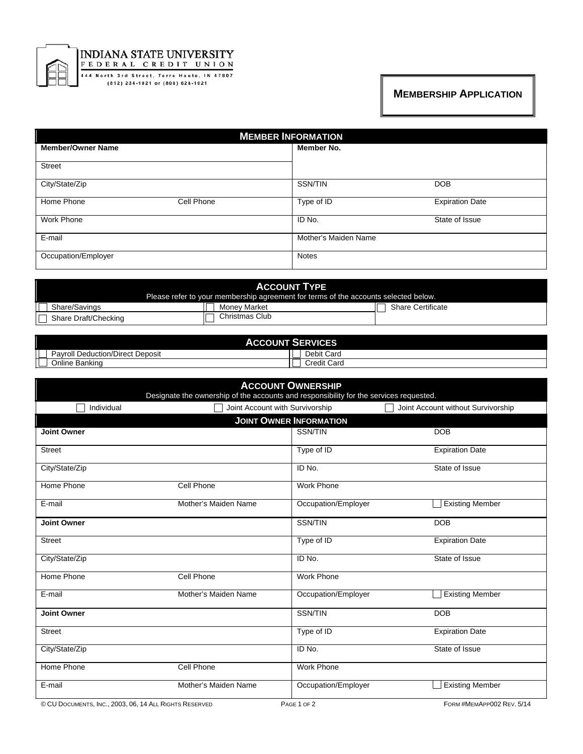

## **INDIANA STATE UNIVERSITY** FEDERAL CREDIT UNION

444 North 3rd Street, Terre Haute, IN 47807<br>(812) 234-1021 or (800) 628-1021

## **MEMBERSHIP APPLICATION**

| <b>MEMBER INFORMATION</b> |                                      |  |  |  |
|---------------------------|--------------------------------------|--|--|--|
| <b>Member/Owner Name</b>  | Member No.                           |  |  |  |
| <b>Street</b>             |                                      |  |  |  |
| City/State/Zip            | SSN/TIN<br><b>DOB</b>                |  |  |  |
| Home Phone<br>Cell Phone  | Type of ID<br><b>Expiration Date</b> |  |  |  |
| <b>Work Phone</b>         | State of Issue<br>ID No.             |  |  |  |
| E-mail                    | Mother's Maiden Name                 |  |  |  |
| Occupation/Employer       | <b>Notes</b>                         |  |  |  |

| <b>ACCOUNT TYPE</b><br>Please refer to your membership agreement for terms of the accounts selected below. |                |                          |  |
|------------------------------------------------------------------------------------------------------------|----------------|--------------------------|--|
| Share/Savings                                                                                              | Money Market   | <b>Share Certificate</b> |  |
| Share Draft/Checking                                                                                       | Christmas Club |                          |  |

| <b>ACCOUNT SET</b><br><b>ERVICES</b>     |                    |  |  |
|------------------------------------------|--------------------|--|--|
| Deduction/Direct<br>* Deposit<br>Pavroll | Debit Card         |  |  |
| Online Banking                           | <b>Credit Card</b> |  |  |

| <b>ACCOUNT OWNERSHIP</b><br>Designate the ownership of the accounts and responsibility for the services requested. |                                 |                     |                                    |  |  |  |  |
|--------------------------------------------------------------------------------------------------------------------|---------------------------------|---------------------|------------------------------------|--|--|--|--|
| Individual                                                                                                         | Joint Account with Survivorship |                     | Joint Account without Survivorship |  |  |  |  |
| <b>JOINT OWNER INFORMATION</b>                                                                                     |                                 |                     |                                    |  |  |  |  |
| <b>Joint Owner</b>                                                                                                 |                                 | SSN/TIN             | <b>DOB</b>                         |  |  |  |  |
| <b>Street</b>                                                                                                      |                                 | Type of ID          | <b>Expiration Date</b>             |  |  |  |  |
| City/State/Zip                                                                                                     |                                 | ID No.              | State of Issue                     |  |  |  |  |
| Home Phone                                                                                                         | Cell Phone                      | <b>Work Phone</b>   |                                    |  |  |  |  |
| E-mail                                                                                                             | Mother's Maiden Name            | Occupation/Employer | <b>Existing Member</b>             |  |  |  |  |
| <b>Joint Owner</b>                                                                                                 |                                 | SSN/TIN             | <b>DOB</b>                         |  |  |  |  |
| <b>Street</b>                                                                                                      |                                 | Type of ID          | <b>Expiration Date</b>             |  |  |  |  |
| City/State/Zip                                                                                                     |                                 | ID No.              | State of Issue                     |  |  |  |  |
| Home Phone                                                                                                         | Cell Phone                      | <b>Work Phone</b>   |                                    |  |  |  |  |
| E-mail                                                                                                             | Mother's Maiden Name            | Occupation/Employer | <b>Existing Member</b>             |  |  |  |  |
| <b>Joint Owner</b>                                                                                                 |                                 | <b>SSN/TIN</b>      | DOB                                |  |  |  |  |
| <b>Street</b>                                                                                                      |                                 | Type of ID          | <b>Expiration Date</b>             |  |  |  |  |
| City/State/Zip                                                                                                     |                                 | ID No.              | State of Issue                     |  |  |  |  |
| Home Phone                                                                                                         | Cell Phone                      | <b>Work Phone</b>   |                                    |  |  |  |  |
| E-mail                                                                                                             | Mother's Maiden Name            | Occupation/Employer | <b>Existing Member</b>             |  |  |  |  |